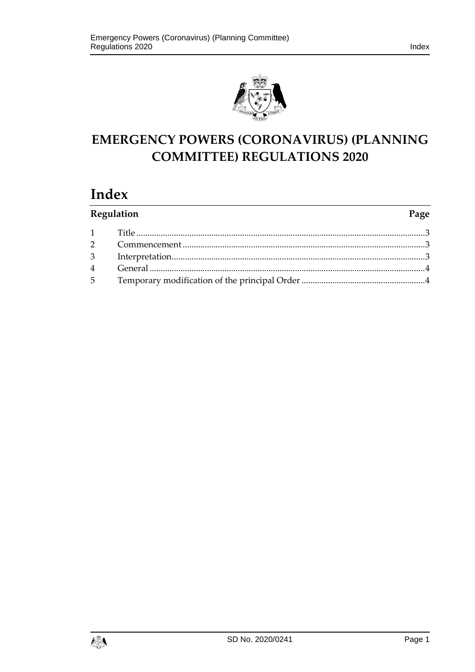

# **EMERGENCY POWERS (CORONAVIRUS) (PLANNING COMMITTEE) REGULATIONS 2020**

## **Index**

| Regulation |  | Page |
|------------|--|------|
|            |  |      |
|            |  |      |
|            |  |      |
|            |  |      |
|            |  |      |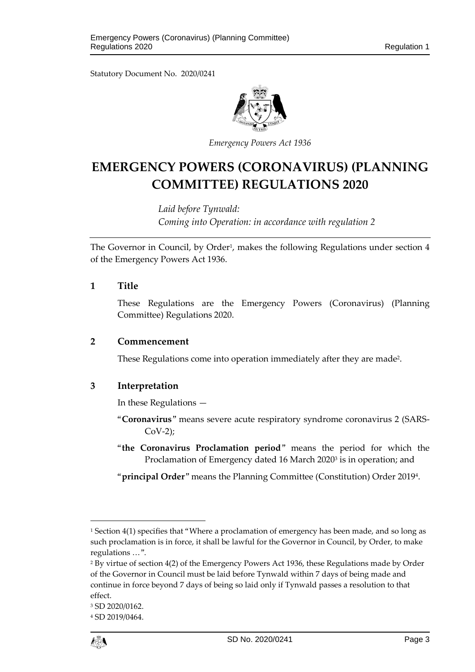Statutory Document No. 2020/0241



*Emergency Powers Act 1936*

### **EMERGENCY POWERS (CORONAVIRUS) (PLANNING COMMITTEE) REGULATIONS 2020**

*Laid before Tynwald: Coming into Operation: in accordance with regulation 2*

The Governor in Council, by Order<sup>1</sup>, makes the following Regulations under section 4 of the Emergency Powers Act 1936.

#### <span id="page-2-0"></span>**1 Title**

These Regulations are the Emergency Powers (Coronavirus) (Planning Committee) Regulations 2020.

#### <span id="page-2-1"></span>**2 Commencement**

These Regulations come into operation immediately after they are made<sup>2</sup>.

#### <span id="page-2-2"></span>**3 Interpretation**

In these Regulations —

- "**Coronavirus**" means severe acute respiratory syndrome coronavirus 2 (SARS-CoV-2);
- "**the Coronavirus Proclamation period**" means the period for which the Proclamation of Emergency dated 16 March 2020<sup>3</sup> is in operation; and

"**principal Order**" means the Planning Committee (Constitution) Order 2019<sup>4</sup> .

<sup>4</sup> SD 2019/0464.



1

<sup>&</sup>lt;sup>1</sup> Section 4(1) specifies that "Where a proclamation of emergency has been made, and so long as such proclamation is in force, it shall be lawful for the Governor in Council, by Order, to make regulations …".

<sup>2</sup> By virtue of section 4(2) of the Emergency Powers Act 1936, these Regulations made by Order of the Governor in Council must be laid before Tynwald within 7 days of being made and continue in force beyond 7 days of being so laid only if Tynwald passes a resolution to that effect.

<sup>3</sup> SD 2020/0162.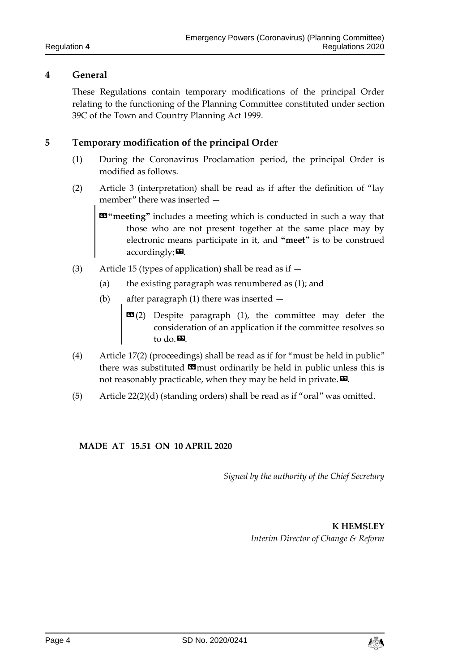#### <span id="page-3-0"></span>**4 General**

These Regulations contain temporary modifications of the principal Order relating to the functioning of the Planning Committee constituted under section 39C of the Town and Country Planning Act 1999.

#### <span id="page-3-1"></span>**5 Temporary modification of the principal Order**

- (1) During the Coronavirus Proclamation period, the principal Order is modified as follows.
- (2) Article 3 (interpretation) shall be read as if after the definition of "lay member" there was inserted —

«**"meeting"** includes a meeting which is conducted in such a way that those who are not present together at the same place may by electronic means participate in it, and **"meet"** is to be construed  $accordingly; **22**$ .

- (3) Article 15 (types of application) shall be read as if  $-$ 
	- (a) the existing paragraph was renumbered as  $(1)$ ; and
	- (b) after paragraph (1) there was inserted
		- $\text{1}$  (2) Despite paragraph (1), the committee may defer the consideration of an application if the committee resolves so to do.<sup>20</sup>.
- (4) Article 17(2) (proceedings) shall be read as if for "must be held in public" there was substituted  $\blacksquare$  must ordinarily be held in public unless this is not reasonably practicable, when they may be held in private. $\boldsymbol{\Sigma}$ .
- (5) Article 22(2)(d) (standing orders) shall be read as if "oral" was omitted.

**MADE AT 15.51 ON 10 APRIL 2020**

*Signed by the authority of the Chief Secretary*

**K HEMSLEY** *Interim Director of Change & Reform*